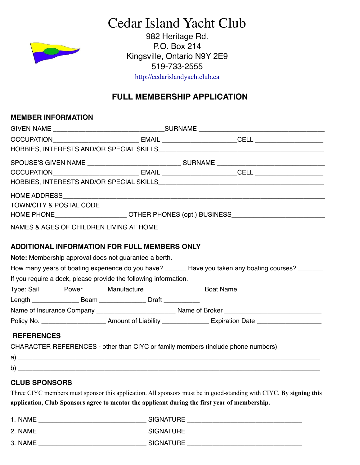# Cedar Island Yacht Club

982 Heritage Rd. P.O. Box 214 Kingsville, Ontario N9Y 2E9 519-733-2555

<http://cedarislandyachtclub.ca>

# **FULL MEMBERSHIP APPLICATION**

#### **MEMBER INFORMATION**

|  | HOBBIES, INTERESTS AND/OR SPECIAL SKILLS <b>CONTRANSITY AND INTERNATIONAL PROPERTY AND ASSESS</b> |  |  |  |  |
|--|---------------------------------------------------------------------------------------------------|--|--|--|--|
|  |                                                                                                   |  |  |  |  |
|  |                                                                                                   |  |  |  |  |
|  |                                                                                                   |  |  |  |  |
|  |                                                                                                   |  |  |  |  |
|  |                                                                                                   |  |  |  |  |
|  | HOME PHONE_______________________OTHER PHONES (opt.) BUSINESS____________________                 |  |  |  |  |
|  |                                                                                                   |  |  |  |  |

#### **ADDITIONAL INFORMATION FOR FULL MEMBERS ONLY**

**Note:** Membership approval does not guarantee a berth.

How many years of boating experience do you have? \_\_\_\_\_\_ Have you taken any boating courses? \_\_\_\_\_\_

If you require a dock, please provide the following information.

Type: Sail \_\_\_\_\_\_ Power \_\_\_\_\_\_\_ Manufacture \_\_\_\_\_\_\_\_\_\_\_\_\_\_\_\_\_\_ Boat Name \_\_\_\_\_\_\_\_\_\_\_\_\_\_\_\_\_\_\_\_\_\_\_\_\_\_

Length \_\_\_\_\_\_\_\_\_\_\_\_\_\_\_\_\_\_\_ Beam \_\_\_\_\_\_\_\_\_\_\_\_\_\_\_\_\_\_ Draft \_\_\_\_\_\_\_\_\_\_\_\_\_

Name of Insurance Company \_\_\_\_\_\_\_\_\_\_\_\_\_\_\_\_\_\_\_\_\_\_ Name of Broker \_\_\_\_\_\_\_\_\_\_\_\_\_\_\_\_\_\_\_\_\_\_\_\_\_\_\_

Policy No. \_\_\_\_\_\_\_\_\_\_\_\_\_\_\_\_\_\_\_\_\_\_\_\_\_\_\_ Amount of Liability \_\_\_\_\_\_\_\_\_\_\_\_\_\_\_\_\_\_\_\_\_ Expiration Date \_\_\_\_\_\_\_\_\_\_\_\_\_

### **REFERENCES**

CHARACTER REFERENCES - other than CIYC or family members (include phone numbers)

### **CLUB SPONSORS**

Three CIYC members must sponsor this application. All sponsors must be in good-standing with CIYC. **By signing this application, Club Sponsors agree to mentor the applicant during the first year of membership.** 

| 1. NAME | <b>SIGNATURE</b> |
|---------|------------------|
| 2. NAME | <b>SIGNATURE</b> |
| 3. NAME | <b>SIGNATURE</b> |